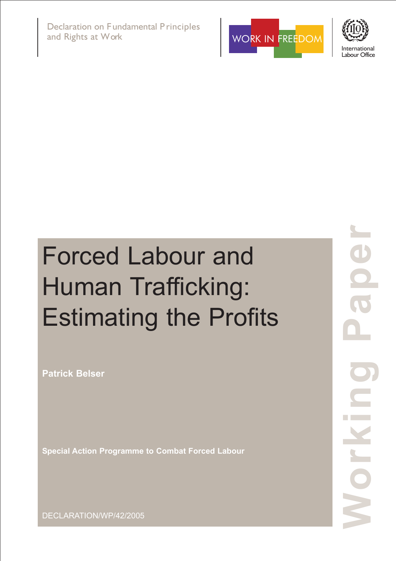Declaration on Fundamental Principles and Rights at Work





# Forced Labour and Human Trafficking: Estimating the Profits

**Patrick Belser**

**Special Action Programme to Combat Forced Labour**

**Working Paper** 1

DECLARATION/WP/42/2005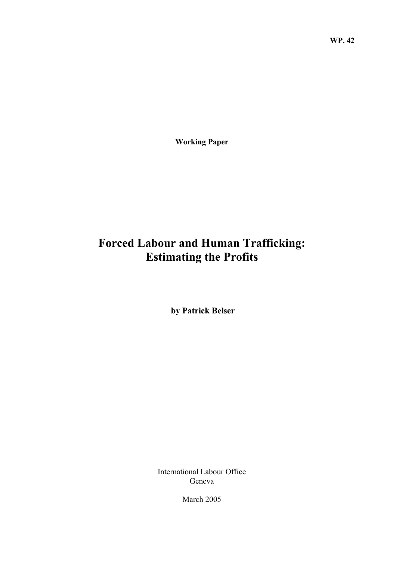**Working Paper** 

# **Forced Labour and Human Trafficking: Estimating the Profits**

 **by Patrick Belser** 

International Labour Office Geneva

March 2005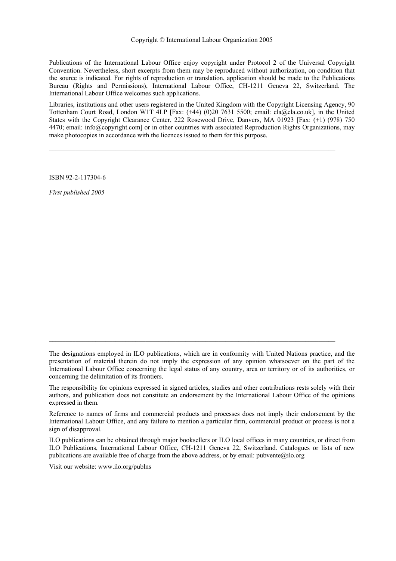Publications of the International Labour Office enjoy copyright under Protocol 2 of the Universal Copyright Convention. Nevertheless, short excerpts from them may be reproduced without authorization, on condition that the source is indicated. For rights of reproduction or translation, application should be made to the Publications Bureau (Rights and Permissions), International Labour Office, CH-1211 Geneva 22, Switzerland. The International Labour Office welcomes such applications.

Libraries, institutions and other users registered in the United Kingdom with the Copyright Licensing Agency, 90 Tottenham Court Road, London W1T 4LP [Fax: (+44) (0)20 7631 5500; email: cla@cla.co.uk], in the United States with the Copyright Clearance Center, 222 Rosewood Drive, Danvers, MA 01923 [Fax: (+1) (978) 750 4470; email: info@copyright.com] or in other countries with associated Reproduction Rights Organizations, may make photocopies in accordance with the licences issued to them for this purpose.

 $\mathcal{L}_\mathcal{L} = \{ \mathcal{L}_\mathcal{L} = \{ \mathcal{L}_\mathcal{L} = \{ \mathcal{L}_\mathcal{L} = \{ \mathcal{L}_\mathcal{L} = \{ \mathcal{L}_\mathcal{L} = \{ \mathcal{L}_\mathcal{L} = \{ \mathcal{L}_\mathcal{L} = \{ \mathcal{L}_\mathcal{L} = \{ \mathcal{L}_\mathcal{L} = \{ \mathcal{L}_\mathcal{L} = \{ \mathcal{L}_\mathcal{L} = \{ \mathcal{L}_\mathcal{L} = \{ \mathcal{L}_\mathcal{L} = \{ \mathcal{L}_\mathcal{$ 

ISBN 92-2-117304-6

*First published 2005* 

 $\mathcal{L}_\mathcal{L} = \{ \mathcal{L}_\mathcal{L} = \{ \mathcal{L}_\mathcal{L} = \{ \mathcal{L}_\mathcal{L} = \{ \mathcal{L}_\mathcal{L} = \{ \mathcal{L}_\mathcal{L} = \{ \mathcal{L}_\mathcal{L} = \{ \mathcal{L}_\mathcal{L} = \{ \mathcal{L}_\mathcal{L} = \{ \mathcal{L}_\mathcal{L} = \{ \mathcal{L}_\mathcal{L} = \{ \mathcal{L}_\mathcal{L} = \{ \mathcal{L}_\mathcal{L} = \{ \mathcal{L}_\mathcal{L} = \{ \mathcal{L}_\mathcal{$ 

Visit our website: www.ilo.org/publns

The designations employed in ILO publications, which are in conformity with United Nations practice, and the presentation of material therein do not imply the expression of any opinion whatsoever on the part of the International Labour Office concerning the legal status of any country, area or territory or of its authorities, or concerning the delimitation of its frontiers.

The responsibility for opinions expressed in signed articles, studies and other contributions rests solely with their authors, and publication does not constitute an endorsement by the International Labour Office of the opinions expressed in them.

Reference to names of firms and commercial products and processes does not imply their endorsement by the International Labour Office, and any failure to mention a particular firm, commercial product or process is not a sign of disapproval.

ILO publications can be obtained through major booksellers or ILO local offices in many countries, or direct from ILO Publications, International Labour Office, CH-1211 Geneva 22, Switzerland. Catalogues or lists of new publications are available free of charge from the above address, or by email: pubvente@ilo.org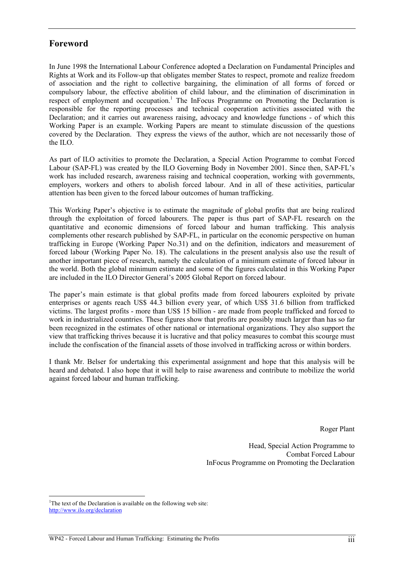# **Foreword**

In June 1998 the International Labour Conference adopted a Declaration on Fundamental Principles and Rights at Work and its Follow-up that obligates member States to respect, promote and realize freedom of association and the right to collective bargaining, the elimination of all forms of forced or compulsory labour, the effective abolition of child labour, and the elimination of discrimination in respect of employment and occupation.<sup>1</sup> The InFocus Programme on Promoting the Declaration is responsible for the reporting processes and technical cooperation activities associated with the Declaration; and it carries out awareness raising, advocacy and knowledge functions - of which this Working Paper is an example. Working Papers are meant to stimulate discussion of the questions covered by the Declaration. They express the views of the author, which are not necessarily those of the ILO.

As part of ILO activities to promote the Declaration, a Special Action Programme to combat Forced Labour (SAP-FL) was created by the ILO Governing Body in November 2001. Since then, SAP-FL's work has included research, awareness raising and technical cooperation, working with governments, employers, workers and others to abolish forced labour. And in all of these activities, particular attention has been given to the forced labour outcomes of human trafficking.

This Working Paper's objective is to estimate the magnitude of global profits that are being realized through the exploitation of forced labourers. The paper is thus part of SAP-FL research on the quantitative and economic dimensions of forced labour and human trafficking. This analysis complements other research published by SAP-FL, in particular on the economic perspective on human trafficking in Europe (Working Paper No.31) and on the definition, indicators and measurement of forced labour (Working Paper No. 18). The calculations in the present analysis also use the result of another important piece of research, namely the calculation of a minimum estimate of forced labour in the world. Both the global minimum estimate and some of the figures calculated in this Working Paper are included in the ILO Director General's 2005 Global Report on forced labour.

The paper's main estimate is that global profits made from forced labourers exploited by private enterprises or agents reach US\$ 44.3 billion every year, of which US\$ 31.6 billion from trafficked victims. The largest profits - more than US\$ 15 billion - are made from people trafficked and forced to work in industrialized countries. These figures show that profits are possibly much larger than has so far been recognized in the estimates of other national or international organizations. They also support the view that trafficking thrives because it is lucrative and that policy measures to combat this scourge must include the confiscation of the financial assets of those involved in trafficking across or within borders.

I thank Mr. Belser for undertaking this experimental assignment and hope that this analysis will be heard and debated. I also hope that it will help to raise awareness and contribute to mobilize the world against forced labour and human trafficking.

Roger Plant

Head, Special Action Programme to Combat Forced Labour InFocus Programme on Promoting the Declaration

<sup>&</sup>lt;sup>1</sup>The text of the Declaration is available on the following web site: http://www.ilo.org/declaration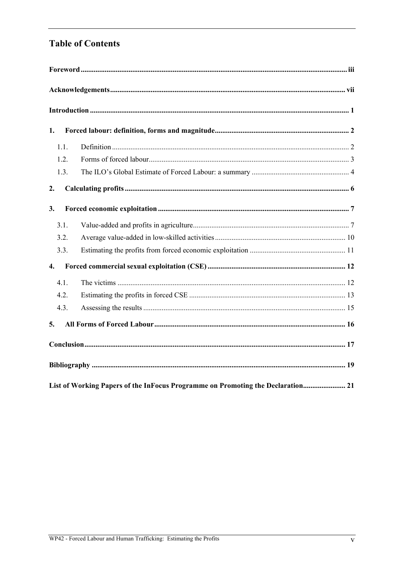# **Table of Contents**

| 1.                 |                                                                                 |
|--------------------|---------------------------------------------------------------------------------|
| 1.1.               |                                                                                 |
| 1.2.               |                                                                                 |
| 1.3.               |                                                                                 |
| 2.                 |                                                                                 |
| 3.                 |                                                                                 |
| 3.1.               |                                                                                 |
| 3.2.               |                                                                                 |
| 3.3.               |                                                                                 |
| $\boldsymbol{4}$ . |                                                                                 |
| 4.1.               |                                                                                 |
| 4.2.               |                                                                                 |
| 4.3.               |                                                                                 |
| 5.                 |                                                                                 |
|                    |                                                                                 |
|                    |                                                                                 |
|                    | List of Working Papers of the InFocus Programme on Promoting the Declaration 21 |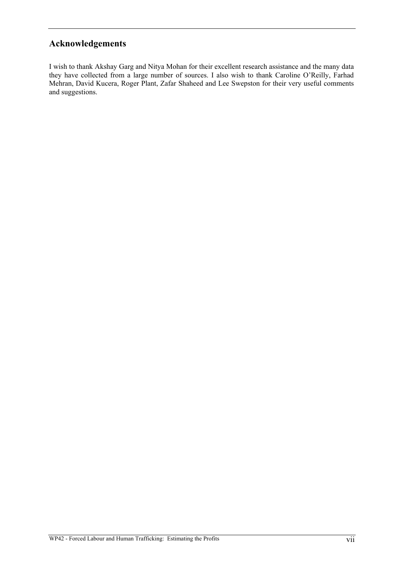# **Acknowledgements**

I wish to thank Akshay Garg and Nitya Mohan for their excellent research assistance and the many data they have collected from a large number of sources. I also wish to thank Caroline O'Reilly, Farhad Mehran, David Kucera, Roger Plant, Zafar Shaheed and Lee Swepston for their very useful comments and suggestions.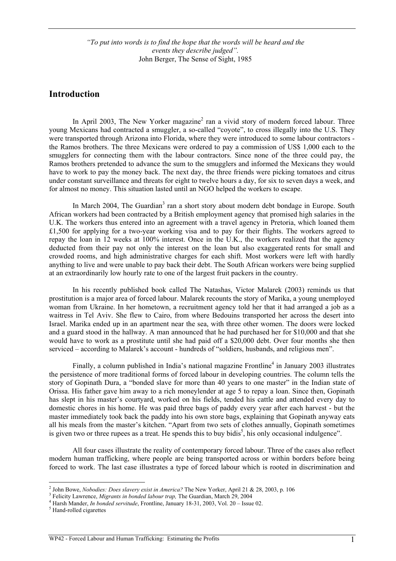*"To put into words is to find the hope that the words will be heard and the events they describe judged".*  John Berger, The Sense of Sight, 1985

## **Introduction**

In April 2003, The New Yorker magazine<sup>2</sup> ran a vivid story of modern forced labour. Three young Mexicans had contracted a smuggler, a so-called "coyote", to cross illegally into the U.S. They were transported through Arizona into Florida, where they were introduced to some labour contractors the Ramos brothers. The three Mexicans were ordered to pay a commission of US\$ 1,000 each to the smugglers for connecting them with the labour contractors. Since none of the three could pay, the Ramos brothers pretended to advance the sum to the smugglers and informed the Mexicans they would have to work to pay the money back. The next day, the three friends were picking tomatoes and citrus under constant surveillance and threats for eight to twelve hours a day, for six to seven days a week, and for almost no money. This situation lasted until an NGO helped the workers to escape.

In March 2004, The Guardian<sup>3</sup> ran a short story about modern debt bondage in Europe. South African workers had been contracted by a British employment agency that promised high salaries in the U.K. The workers thus entered into an agreement with a travel agency in Pretoria, which loaned them £1,500 for applying for a two-year working visa and to pay for their flights. The workers agreed to repay the loan in 12 weeks at 100% interest. Once in the U.K., the workers realized that the agency deducted from their pay not only the interest on the loan but also exaggerated rents for small and crowded rooms, and high administrative charges for each shift. Most workers were left with hardly anything to live and were unable to pay back their debt. The South African workers were being supplied at an extraordinarily low hourly rate to one of the largest fruit packers in the country.

 In his recently published book called The Natashas, Victor Malarek (2003) reminds us that prostitution is a major area of forced labour. Malarek recounts the story of Marika, a young unemployed woman from Ukraine. In her hometown, a recruitment agency told her that it had arranged a job as a waitress in Tel Aviv. She flew to Cairo, from where Bedouins transported her across the desert into Israel. Marika ended up in an apartment near the sea, with three other women. The doors were locked and a guard stood in the hallway. A man announced that he had purchased her for \$10,000 and that she would have to work as a prostitute until she had paid off a \$20,000 debt. Over four months she then serviced – according to Malarek's account - hundreds of "soldiers, husbands, and religious men".

Finally, a column published in India's national magazine Frontline<sup>4</sup> in January 2003 illustrates the persistence of more traditional forms of forced labour in developing countries. The column tells the story of Gopinath Dura, a "bonded slave for more than 40 years to one master" in the Indian state of Orissa. His father gave him away to a rich moneylender at age 5 to repay a loan. Since then, Gopinath has slept in his master's courtyard, worked on his fields, tended his cattle and attended every day to domestic chores in his home. He was paid three bags of paddy every year after each harvest - but the master immediately took back the paddy into his own store bags, explaining that Gopinath anyway eats all his meals from the master's kitchen. "Apart from two sets of clothes annually, Gopinath sometimes is given two or three rupees as a treat. He spends this to buy bidis<sup>5</sup>, his only occasional indulgence".

All four cases illustrate the reality of contemporary forced labour. Three of the cases also reflect modern human trafficking, where people are being transported across or within borders before being forced to work. The last case illustrates a type of forced labour which is rooted in discrimination and

<sup>&</sup>lt;sup>2</sup> John Bowe, *Nobodies: Does slavery exist in America?* The New Yorker, April 21 & 28, 2003, p. 106<br><sup>3</sup> Folioity Lawrange, *Migrants in honded labour tran*. The Guardian March 20, 2004

Felicity Lawrence, *Migrants in bonded labour trap,* The Guardian, March 29, 2004<sup>4</sup>

Harsh Mander, *In bonded servitude*, Frontline, January 18-31, 2003, Vol. 20 – Issue 02. 5

<sup>&</sup>lt;sup>5</sup> Hand-rolled cigarettes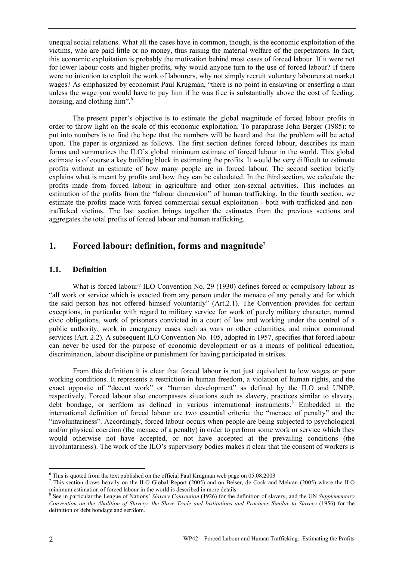unequal social relations. What all the cases have in common, though, is the economic exploitation of the victims, who are paid little or no money, thus raising the material welfare of the perpetrators. In fact, this economic exploitation is probably the motivation behind most cases of forced labour. If it were not for lower labour costs and higher profits, why would anyone turn to the use of forced labour? If there were no intention to exploit the work of labourers, why not simply recruit voluntary labourers at market wages? As emphasized by economist Paul Krugman, "there is no point in enslaving or enserfing a man unless the wage you would have to pay him if he was free is substantially above the cost of feeding, housing, and clothing him".<sup>6</sup>

The present paper's objective is to estimate the global magnitude of forced labour profits in order to throw light on the scale of this economic exploitation. To paraphrase John Berger (1985): to put into numbers is to find the hope that the numbers will be heard and that the problem will be acted upon. The paper is organized as follows. The first section defines forced labour, describes its main forms and summarizes the ILO's global minimum estimate of forced labour in the world. This global estimate is of course a key building block in estimating the profits. It would be very difficult to estimate profits without an estimate of how many people are in forced labour. The second section briefly explains what is meant by profits and how they can be calculated. In the third section, we calculate the profits made from forced labour in agriculture and other non-sexual activities. This includes an estimation of the profits from the "labour dimension" of human trafficking. In the fourth section, we estimate the profits made with forced commercial sexual exploitation - both with trafficked and nontrafficked victims. The last section brings together the estimates from the previous sections and aggregates the total profits of forced labour and human trafficking.

# **1. Forced labour: definition, forms and magnitude**<sup>7</sup>

#### **1.1. Definition**

What is forced labour? ILO Convention No. 29 (1930) defines forced or compulsory labour as "all work or service which is exacted from any person under the menace of any penalty and for which the said person has not offered himself voluntarily" (Art.2.1). The Convention provides for certain exceptions, in particular with regard to military service for work of purely military character, normal civic obligations, work of prisoners convicted in a court of law and working under the control of a public authority, work in emergency cases such as wars or other calamities, and minor communal services (Art. 2.2). A subsequent ILO Convention No. 105, adopted in 1957, specifies that forced labour can never be used for the purpose of economic development or as a means of political education, discrimination, labour discipline or punishment for having participated in strikes.

From this definition it is clear that forced labour is not just equivalent to low wages or poor working conditions. It represents a restriction in human freedom, a violation of human rights, and the exact opposite of "decent work" or "human development" as defined by the ILO and UNDP, respectively. Forced labour also encompasses situations such as slavery, practices similar to slavery, debt bondage, or serfdom as defined in various international instruments.<sup>8</sup> Embedded in the international definition of forced labour are two essential criteria: the "menace of penalty" and the "involuntariness". Accordingly, forced labour occurs when people are being subjected to psychological and/or physical coercion (the menace of a penalty) in order to perform some work or service which they would otherwise not have accepted, or not have accepted at the prevailing conditions (the involuntariness). The work of the ILO's supervisory bodies makes it clear that the consent of workers is

 $\overline{a}$ <sup>6</sup> This is quoted from the text published on the official Paul Krugman web page on 05.08.2003

 $\frac{7}{1}$  This section draws heavily on the ILO Global Report (2005) and on Belser, de Cock and Mehran (2005) where the ILO minimum estimation of forced labour in the world is described in more details. 8

See in particular the League of Nations' *Slavery Convention* (1926) for the definition of slavery, and the UN *Supplementary Convention on the Abolition of Slavery, the Slave Trade and Institutions and Practices Similar to Slavery* (1956) for the definition of debt bondage and serfdom.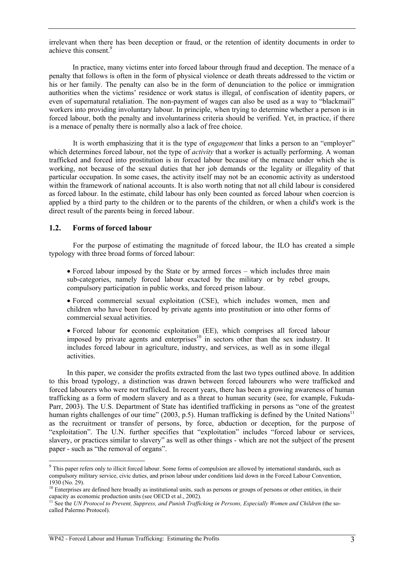irrelevant when there has been deception or fraud, or the retention of identity documents in order to achieve this consent.<sup>9</sup>

In practice, many victims enter into forced labour through fraud and deception. The menace of a penalty that follows is often in the form of physical violence or death threats addressed to the victim or his or her family. The penalty can also be in the form of denunciation to the police or immigration authorities when the victims' residence or work status is illegal, of confiscation of identity papers, or even of supernatural retaliation. The non-payment of wages can also be used as a way to "blackmail" workers into providing involuntary labour. In principle, when trying to determine whether a person is in forced labour, both the penalty and involuntariness criteria should be verified. Yet, in practice, if there is a menace of penalty there is normally also a lack of free choice.

It is worth emphasizing that it is the type of *engagement* that links a person to an "employer" which determines forced labour, not the type of *activity* that a worker is actually performing. A woman trafficked and forced into prostitution is in forced labour because of the menace under which she is working, not because of the sexual duties that her job demands or the legality or illegality of that particular occupation. In some cases, the activity itself may not be an economic activity as understood within the framework of national accounts. It is also worth noting that not all child labour is considered as forced labour. In the estimate, child labour has only been counted as forced labour when coercion is applied by a third party to the children or to the parents of the children, or when a child's work is the direct result of the parents being in forced labour.

#### **1.2. Forms of forced labour**

 $\overline{a}$ 

For the purpose of estimating the magnitude of forced labour, the ILO has created a simple typology with three broad forms of forced labour:

• Forced labour imposed by the State or by armed forces – which includes three main sub-categories, namely forced labour exacted by the military or by rebel groups, compulsory participation in public works, and forced prison labour.

• Forced commercial sexual exploitation (CSE), which includes women, men and children who have been forced by private agents into prostitution or into other forms of commercial sexual activities.

• Forced labour for economic exploitation (EE), which comprises all forced labour imposed by private agents and enterprises<sup>10</sup> in sectors other than the sex industry. It includes forced labour in agriculture, industry, and services, as well as in some illegal activities.

In this paper, we consider the profits extracted from the last two types outlined above. In addition to this broad typology, a distinction was drawn between forced labourers who were trafficked and forced labourers who were not trafficked. In recent years, there has been a growing awareness of human trafficking as a form of modern slavery and as a threat to human security (see, for example, Fukuda-Parr, 2003). The U.S. Department of State has identified trafficking in persons as "one of the greatest human rights challenges of our time" (2003, p.5). Human trafficking is defined by the United Nations<sup>11</sup> as the recruitment or transfer of persons, by force, abduction or deception, for the purpose of "exploitation". The U.N. further specifies that "exploitation" includes "forced labour or services, slavery, or practices similar to slavery" as well as other things - which are not the subject of the present paper - such as "the removal of organs".

<sup>&</sup>lt;sup>9</sup> This paper refers only to illicit forced labour. Some forms of compulsion are allowed by international standards, such as compulsory military service, civic duties, and prison labour under conditions laid down in the Forced Labour Convention, 1930 (No. 29).

<sup>&</sup>lt;sup>10</sup> Enterprises are defined here broadly as institutional units, such as persons or groups of persons or other entities, in their capacity as economic production units (see OECD et al., 2002).

Gee the *UN Protocol to Prevent, Suppress, and Punish Trafficking in Persons, Especially Women and Children* (the socalled Palermo Protocol).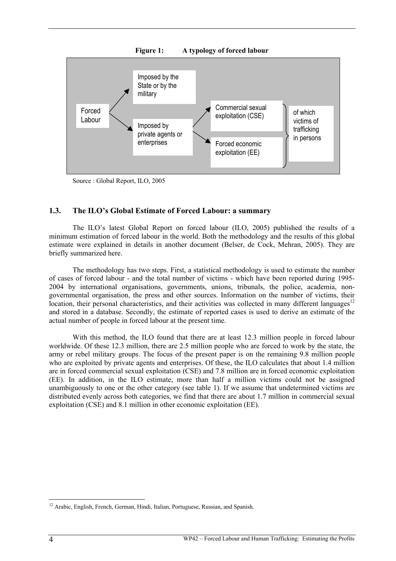

Source : Global Report, ILO, 2005

#### **1.3. The ILO's Global Estimate of Forced Labour: a summary**

The ILO's latest Global Report on forced labour (ILO, 2005) published the results of a minimum estimation of forced labour in the world. Both the methodology and the results of this global estimate were explained in details in another document (Belser, de Cock, Mehran, 2005). They are briefly summarized here.

The methodology has two steps. First, a statistical methodology is used to estimate the number of cases of forced labour - and the total number of victims - which have been reported during 1995- 2004 by international organisations, governments, unions, tribunals, the police, academia, nongovernmental organisation, the press and other sources. Information on the number of victims, their location, their personal characteristics, and their activities was collected in many different languages<sup>12</sup> and stored in a database. Secondly, the estimate of reported cases is used to derive an estimate of the actual number of people in forced labour at the present time.

With this method, the ILO found that there are at least 12.3 million people in forced labour worldwide. Of these 12.3 million, there are 2.5 million people who are forced to work by the state, the army or rebel military groups. The focus of the present paper is on the remaining 9.8 million people who are exploited by private agents and enterprises. Of these, the ILO calculates that about 1.4 million are in forced commercial sexual exploitation (CSE) and 7.8 million are in forced economic exploitation (EE). In addition, in the ILO estimate, more than half a million victims could not be assigned unambiguously to one or the other category (see table 1). If we assume that undetermined victims are distributed evenly across both categories, we find that there are about 1.7 million in commercial sexual exploitation (CSE) and 8.1 million in other economic exploitation (EE).

 $\overline{a}$ <sup>12</sup> Arabic, English, French, German, Hindi, Italian, Portuguese, Russian, and Spanish.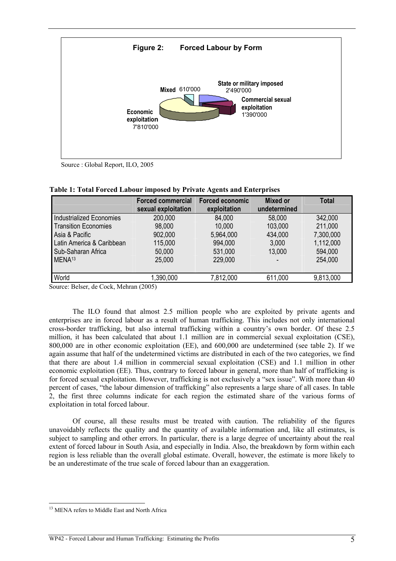

Source : Global Report, ILO, 2005

|                                 | <b>Forced commercial</b><br>sexual exploitation | <b>Forced economic</b><br>exploitation | <b>Mixed or</b><br>undetermined | <b>Total</b> |
|---------------------------------|-------------------------------------------------|----------------------------------------|---------------------------------|--------------|
| <b>Industrialized Economies</b> | 200,000                                         | 84,000                                 | 58,000                          | 342,000      |
| <b>Transition Economies</b>     | 98,000                                          | 10,000                                 | 103,000                         | 211,000      |
| Asia & Pacific                  | 902,000                                         | 5,964,000                              | 434,000                         | 7,300,000    |
| Latin America & Caribbean       | 115,000                                         | 994,000                                | 3,000                           | 1,112,000    |
| Sub-Saharan Africa              | 50,000                                          | 531,000                                | 13,000                          | 594,000      |
| MENA <sup>13</sup>              | 25,000                                          | 229,000                                | $\blacksquare$                  | 254,000      |
| World                           | 1,390,000                                       | 7,812,000                              | 611,000                         | 9,813,000    |

| Table 1: Total Forced Labour imposed by Private Agents and Enterprises |  |  |  |
|------------------------------------------------------------------------|--|--|--|
|------------------------------------------------------------------------|--|--|--|

Source: Belser, de Cock, Mehran (2005)

The ILO found that almost 2.5 million people who are exploited by private agents and enterprises are in forced labour as a result of human trafficking. This includes not only international cross-border trafficking, but also internal trafficking within a country's own border. Of these 2.5 million, it has been calculated that about 1.1 million are in commercial sexual exploitation (CSE), 800,000 are in other economic exploitation (EE), and 600,000 are undetermined (see table 2). If we again assume that half of the undetermined victims are distributed in each of the two categories, we find that there are about 1.4 million in commercial sexual exploitation (CSE) and 1.1 million in other economic exploitation (EE). Thus, contrary to forced labour in general, more than half of trafficking is for forced sexual exploitation. However, trafficking is not exclusively a "sex issue". With more than 40 percent of cases, "the labour dimension of trafficking" also represents a large share of all cases. In table 2, the first three columns indicate for each region the estimated share of the various forms of exploitation in total forced labour.

Of course, all these results must be treated with caution. The reliability of the figures unavoidably reflects the quality and the quantity of available information and, like all estimates, is subject to sampling and other errors. In particular, there is a large degree of uncertainty about the real extent of forced labour in South Asia, and especially in India. Also, the breakdown by form within each region is less reliable than the overall global estimate. Overall, however, the estimate is more likely to be an underestimate of the true scale of forced labour than an exaggeration.

 $\overline{a}$ <sup>13</sup> MENA refers to Middle East and North Africa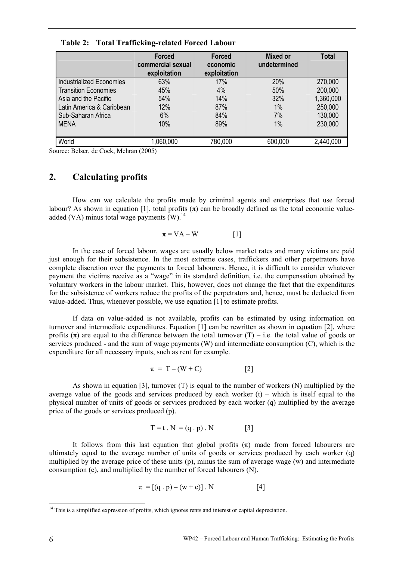|                                 | <b>Forced</b><br>commercial sexual<br>exploitation | <b>Forced</b><br>economic<br>exploitation | <b>Mixed or</b><br>undetermined | <b>Total</b> |
|---------------------------------|----------------------------------------------------|-------------------------------------------|---------------------------------|--------------|
| <b>Industrialized Economies</b> | 63%                                                | 17%                                       | 20%                             | 270,000      |
| <b>Transition Economies</b>     | 45%                                                | 4%                                        | 50%                             | 200,000      |
| Asia and the Pacific            | 54%                                                | 14%                                       | 32%                             | 1,360,000    |
| Latin America & Caribbean       | 12%                                                | 87%                                       | 1%                              | 250,000      |
| Sub-Saharan Africa              | 6%                                                 | 84%                                       | 7%                              | 130,000      |
| <b>MENA</b>                     | 10%                                                | 89%                                       | 1%                              | 230,000      |
| World                           | 1,060,000                                          | 780,000                                   | 600,000                         | 2,440,000    |

**Table 2: Total Trafficking-related Forced Labour** 

Source: Belser, de Cock, Mehran (2005)

## **2. Calculating profits**

How can we calculate the profits made by criminal agents and enterprises that use forced labour? As shown in equation [1], total profits  $(\pi)$  can be broadly defined as the total economic valueadded (VA) minus total wage payments  $(W)$ .<sup>14</sup>

$$
\pi = VA - W \qquad [1]
$$

In the case of forced labour, wages are usually below market rates and many victims are paid just enough for their subsistence. In the most extreme cases, traffickers and other perpetrators have complete discretion over the payments to forced labourers. Hence, it is difficult to consider whatever payment the victims receive as a "wage" in its standard definition, i.e. the compensation obtained by voluntary workers in the labour market. This, however, does not change the fact that the expenditures for the subsistence of workers reduce the profits of the perpetrators and, hence, must be deducted from value-added. Thus, whenever possible, we use equation [1] to estimate profits.

If data on value-added is not available, profits can be estimated by using information on turnover and intermediate expenditures. Equation [1] can be rewritten as shown in equation [2], where profits  $(\pi)$  are equal to the difference between the total turnover  $(T) - i.e.$  the total value of goods or services produced - and the sum of wage payments (W) and intermediate consumption (C), which is the expenditure for all necessary inputs, such as rent for example.

$$
\pi = T - (W + C) \tag{2}
$$

As shown in equation [3], turnover (T) is equal to the number of workers (N) multiplied by the average value of the goods and services produced by each worker  $(t)$  – which is itself equal to the physical number of units of goods or services produced by each worker (q) multiplied by the average price of the goods or services produced (p).

$$
T = t \cdot N = (q \cdot p) \cdot N \qquad [3]
$$

It follows from this last equation that global profits  $(\pi)$  made from forced labourers are ultimately equal to the average number of units of goods or services produced by each worker (q) multiplied by the average price of these units (p), minus the sum of average wage (w) and intermediate consumption (c), and multiplied by the number of forced labourers (N).

$$
\pi = [(q \cdot p) - (w + c)] \cdot N \tag{4}
$$

<sup>&</sup>lt;sup>14</sup> This is a simplified expression of profits, which ignores rents and interest or capital depreciation.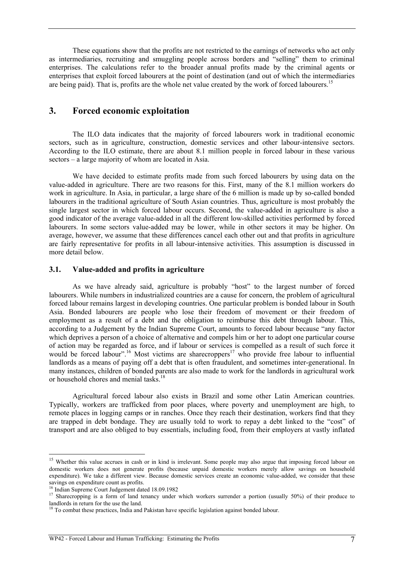These equations show that the profits are not restricted to the earnings of networks who act only as intermediaries, recruiting and smuggling people across borders and "selling" them to criminal enterprises. The calculations refer to the broader annual profits made by the criminal agents or enterprises that exploit forced labourers at the point of destination (and out of which the intermediaries are being paid). That is, profits are the whole net value created by the work of forced labourers.<sup>15</sup>

## **3. Forced economic exploitation**

The ILO data indicates that the majority of forced labourers work in traditional economic sectors, such as in agriculture, construction, domestic services and other labour-intensive sectors. According to the ILO estimate, there are about 8.1 million people in forced labour in these various sectors – a large majority of whom are located in Asia.

We have decided to estimate profits made from such forced labourers by using data on the value-added in agriculture. There are two reasons for this. First, many of the 8.1 million workers do work in agriculture. In Asia, in particular, a large share of the 6 million is made up by so-called bonded labourers in the traditional agriculture of South Asian countries. Thus, agriculture is most probably the single largest sector in which forced labour occurs. Second, the value-added in agriculture is also a good indicator of the average value-added in all the different low-skilled activities performed by forced labourers. In some sectors value-added may be lower, while in other sectors it may be higher. On average, however, we assume that these differences cancel each other out and that profits in agriculture are fairly representative for profits in all labour-intensive activities. This assumption is discussed in more detail below.

#### **3.1. Value-added and profits in agriculture**

As we have already said, agriculture is probably "host" to the largest number of forced labourers. While numbers in industrialized countries are a cause for concern, the problem of agricultural forced labour remains largest in developing countries. One particular problem is bonded labour in South Asia. Bonded labourers are people who lose their freedom of movement or their freedom of employment as a result of a debt and the obligation to reimburse this debt through labour. This, according to a Judgement by the Indian Supreme Court, amounts to forced labour because "any factor which deprives a person of a choice of alternative and compels him or her to adopt one particular course of action may be regarded as force, and if labour or services is compelled as a result of such force it would be forced labour".<sup>16</sup> Most victims are sharecroppers<sup>17</sup> who provide free labour to influential landlords as a means of paying off a debt that is often fraudulent, and sometimes inter-generational. In many instances, children of bonded parents are also made to work for the landlords in agricultural work or household chores and menial tasks.<sup>18</sup>

Agricultural forced labour also exists in Brazil and some other Latin American countries. Typically, workers are trafficked from poor places, where poverty and unemployment are high, to remote places in logging camps or in ranches. Once they reach their destination, workers find that they are trapped in debt bondage. They are usually told to work to repay a debt linked to the "cost" of transport and are also obliged to buy essentials, including food, from their employers at vastly inflated

<sup>&</sup>lt;sup>15</sup> Whether this value accrues in cash or in kind is irrelevant. Some people may also argue that imposing forced labour on domestic workers does not generate profits (because unpaid domestic workers merely allow savings on household expenditure). We take a different view. Because domestic services create an economic value-added, we consider that these savings on expenditure count as profits.

<sup>&</sup>lt;sup>16</sup> Indian Supreme Court Judgement dated 18.09.1982

<sup>&</sup>lt;sup>17</sup> Sharecropping is a form of land tenancy under which workers surrender a portion (usually 50%) of their produce to landlords in return for the use the land.

<sup>&</sup>lt;sup>18</sup> To combat these practices, India and Pakistan have specific legislation against bonded labour.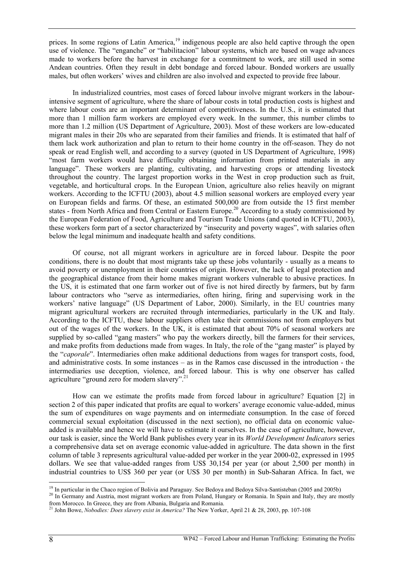prices. In some regions of Latin America.<sup>19</sup> indigenous people are also held captive through the open use of violence. The "enganche" or "habilitacion" labour systems, which are based on wage advances made to workers before the harvest in exchange for a commitment to work, are still used in some Andean countries. Often they result in debt bondage and forced labour. Bonded workers are usually males, but often workers' wives and children are also involved and expected to provide free labour.

In industrialized countries, most cases of forced labour involve migrant workers in the labourintensive segment of agriculture, where the share of labour costs in total production costs is highest and where labour costs are an important determinant of competitiveness. In the U.S., it is estimated that more than 1 million farm workers are employed every week. In the summer, this number climbs to more than 1.2 million (US Department of Agriculture, 2003). Most of these workers are low-educated migrant males in their 20s who are separated from their families and friends. It is estimated that half of them lack work authorization and plan to return to their home country in the off-season. They do not speak or read English well, and according to a survey (quoted in US Department of Agriculture, 1998) "most farm workers would have difficulty obtaining information from printed materials in any language". These workers are planting, cultivating, and harvesting crops or attending livestock throughout the country. The largest proportion works in the West in crop production such as fruit, vegetable, and horticultural crops. In the European Union, agriculture also relies heavily on migrant workers. According to the ICFTU (2003), about 4.5 million seasonal workers are employed every year on European fields and farms. Of these, an estimated 500,000 are from outside the 15 first member states - from North Africa and from Central or Eastern Europe.<sup>20</sup> According to a study commissioned by the European Federation of Food, Agriculture and Tourism Trade Unions (and quoted in ICFTU, 2003), these workers form part of a sector characterized by "insecurity and poverty wages", with salaries often below the legal minimum and inadequate health and safety conditions.

Of course, not all migrant workers in agriculture are in forced labour. Despite the poor conditions, there is no doubt that most migrants take up these jobs voluntarily - usually as a means to avoid poverty or unemployment in their countries of origin. However, the lack of legal protection and the geographical distance from their home makes migrant workers vulnerable to abusive practices. In the US, it is estimated that one farm worker out of five is not hired directly by farmers, but by farm labour contractors who "serve as intermediaries, often hiring, firing and supervising work in the workers' native language" (US Department of Labor, 2000). Similarly, in the EU countries many migrant agricultural workers are recruited through intermediaries, particularly in the UK and Italy. According to the ICFTU, these labour suppliers often take their commissions not from employers but out of the wages of the workers. In the UK, it is estimated that about 70% of seasonal workers are supplied by so-called "gang masters" who pay the workers directly, bill the farmers for their services, and make profits from deductions made from wages. In Italy, the role of the "gang master" is played by the "*caporale*". Intermediaries often make additional deductions from wages for transport costs, food, and administrative costs. In some instances – as in the Ramos case discussed in the introduction - the intermediaries use deception, violence, and forced labour. This is why one observer has called agriculture "ground zero for modern slavery".<sup>21</sup>

How can we estimate the profits made from forced labour in agriculture? Equation [2] in section 2 of this paper indicated that profits are equal to workers' average economic value-added, minus the sum of expenditures on wage payments and on intermediate consumption. In the case of forced commercial sexual exploitation (discussed in the next section), no official data on economic valueadded is available and hence we will have to estimate it ourselves. In the case of agriculture, however, our task is easier, since the World Bank publishes every year in its *World Development Indicators* series a comprehensive data set on average economic value-added in agriculture. The data shown in the first column of table 3 represents agricultural value-added per worker in the year 2000-02, expressed in 1995 dollars. We see that value-added ranges from US\$ 30,154 per year (or about 2,500 per month) in industrial countries to US\$ 360 per year (or US\$ 30 per month) in Sub-Saharan Africa. In fact, we

<sup>&</sup>lt;sup>19</sup> In particular in the Chaco region of Bolivia and Paraguay. See Bedoya and Bedoya Silva-Santisteban (2005 and 2005b)<br><sup>20</sup> In Germany and Austria, most migrant workers are from Poland, Hungary or Romania. In Spain and from Morocco. In Greece, they are from Albania, Bulgaria and Romania.

<sup>21</sup> John Bowe, *Nobodies: Does slavery exist in America?* The New Yorker, April 21 & 28, 2003, pp. 107-108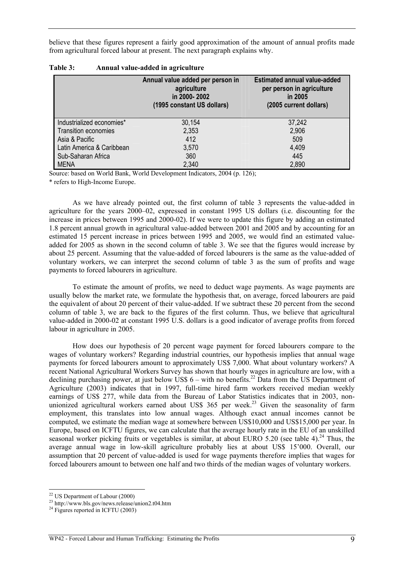believe that these figures represent a fairly good approximation of the amount of annual profits made from agricultural forced labour at present. The next paragraph explains why.

|                             | Annual value added per person in<br>agriculture<br>in 2000-2002<br>(1995 constant US dollars) | <b>Estimated annual value-added</b><br>per person in agriculture<br>in 2005<br>(2005 current dollars) |
|-----------------------------|-----------------------------------------------------------------------------------------------|-------------------------------------------------------------------------------------------------------|
| Industrialized economies*   | 30,154                                                                                        | 37,242                                                                                                |
| <b>Transition economies</b> | 2,353                                                                                         | 2,906                                                                                                 |
| Asia & Pacific              | 412                                                                                           | 509                                                                                                   |
| Latin America & Caribbean   | 3,570                                                                                         | 4,409                                                                                                 |
| Sub-Saharan Africa          | 360                                                                                           | 445                                                                                                   |
| <b>MENA</b>                 | 2,340                                                                                         | 2,890                                                                                                 |

| <b>Table 3:</b> |  |  |  | Annual value-added in agriculture |
|-----------------|--|--|--|-----------------------------------|
|-----------------|--|--|--|-----------------------------------|

Source: based on World Bank, World Development Indicators, 2004 (p. 126);

\* refers to High-Income Europe.

As we have already pointed out, the first column of table 3 represents the value-added in agriculture for the years 2000–02, expressed in constant 1995 US dollars (i.e. discounting for the increase in prices between 1995 and 2000-02). If we were to update this figure by adding an estimated 1.8 percent annual growth in agricultural value-added between 2001 and 2005 and by accounting for an estimated 15 percent increase in prices between 1995 and 2005, we would find an estimated valueadded for 2005 as shown in the second column of table 3. We see that the figures would increase by about 25 percent. Assuming that the value-added of forced labourers is the same as the value-added of voluntary workers, we can interpret the second column of table 3 as the sum of profits and wage payments to forced labourers in agriculture.

To estimate the amount of profits, we need to deduct wage payments. As wage payments are usually below the market rate, we formulate the hypothesis that, on average, forced labourers are paid the equivalent of about 20 percent of their value-added. If we subtract these 20 percent from the second column of table 3, we are back to the figures of the first column. Thus, we believe that agricultural value-added in 2000-02 at constant 1995 U.S. dollars is a good indicator of average profits from forced labour in agriculture in 2005.

How does our hypothesis of 20 percent wage payment for forced labourers compare to the wages of voluntary workers? Regarding industrial countries, our hypothesis implies that annual wage payments for forced labourers amount to approximately US\$ 7,000. What about voluntary workers? A recent National Agricultural Workers Survey has shown that hourly wages in agriculture are low, with a declining purchasing power, at just below US\$  $6 -$  with no benefits.<sup>22</sup> Data from the US Department of Agriculture (2003) indicates that in 1997, full-time hired farm workers received median weekly earnings of US\$ 277, while data from the Bureau of Labor Statistics indicates that in 2003, nonunionized agricultural workers earned about US\$  $365$  per week.<sup>23</sup> Given the seasonality of farm employment, this translates into low annual wages. Although exact annual incomes cannot be computed, we estimate the median wage at somewhere between US\$10,000 and US\$15,000 per year. In Europe, based on ICFTU figures, we can calculate that the average hourly rate in the EU of an unskilled seasonal worker picking fruits or vegetables is similar, at about EURO 5.20 (see table 4).<sup>24</sup> Thus, the average annual wage in low-skill agriculture probably lies at about US\$ 15'000. Overall, our assumption that 20 percent of value-added is used for wage payments therefore implies that wages for forced labourers amount to between one half and two thirds of the median wages of voluntary workers.

 $22$  US Department of Labour (2000)

<sup>&</sup>lt;sup>23</sup> http://www.bls.gov/news.release/union2.t04.htm

 $^{24}$  Figures reported in ICFTU (2003)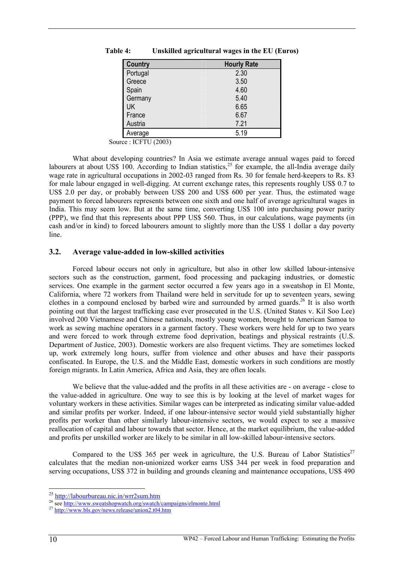| <b>Country</b> | <b>Hourly Rate</b> |
|----------------|--------------------|
| Portugal       | 2.30               |
| Greece         | 3.50               |
| Spain          | 4.60               |
| Germany        | 5.40               |
| UK             | 6.65               |
| France         | 6.67               |
| Austria        | 7.21               |
| Average        | 5.19               |
|                |                    |

**Table 4: Unskilled agricultural wages in the EU (Euros)** 

Source : ICFTU (2003)

What about developing countries? In Asia we estimate average annual wages paid to forced what about developing countries: in the we commute average minimal inger part to example about US\$ 100. According to Indian statistics,<sup>25</sup> for example, the all-India average daily wage rate in agricultural occupations in 2002-03 ranged from Rs. 30 for female herd-keepers to Rs. 83 for male labour engaged in well-digging. At current exchange rates, this represents roughly US\$ 0.7 to US\$ 2.0 per day, or probably between US\$ 200 and US\$ 600 per year. Thus, the estimated wage payment to forced labourers represents between one sixth and one half of average agricultural wages in India. This may seem low. But at the same time, converting US\$ 100 into purchasing power parity (PPP), we find that this represents about PPP US\$ 560. Thus, in our calculations, wage payments (in cash and/or in kind) to forced labourers amount to slightly more than the US\$ 1 dollar a day poverty line.

#### **3.2. Average value-added in low-skilled activities**

 Forced labour occurs not only in agriculture, but also in other low skilled labour-intensive sectors such as the construction, garment, food processing and packaging industries, or domestic services. One example in the garment sector occurred a few years ago in a sweatshop in El Monte, California, where 72 workers from Thailand were held in servitude for up to seventeen years, sewing clothes in a compound enclosed by barbed wire and surrounded by armed guards.<sup>26</sup> It is also worth pointing out that the largest trafficking case ever prosecuted in the U.S. (United States v. Kil Soo Lee) involved 200 Vietnamese and Chinese nationals, mostly young women, brought to American Samoa to work as sewing machine operators in a garment factory. These workers were held for up to two years and were forced to work through extreme food deprivation, beatings and physical restraints (U.S. Department of Justice, 2003). Domestic workers are also frequent victims. They are sometimes locked up, work extremely long hours, suffer from violence and other abuses and have their passports confiscated. In Europe, the U.S. and the Middle East, domestic workers in such conditions are mostly foreign migrants. In Latin America, Africa and Asia, they are often locals.

We believe that the value-added and the profits in all these activities are - on average - close to the value-added in agriculture. One way to see this is by looking at the level of market wages for voluntary workers in these activities. Similar wages can be interpreted as indicating similar value-added and similar profits per worker. Indeed, if one labour-intensive sector would yield substantially higher profits per worker than other similarly labour-intensive sectors, we would expect to see a massive reallocation of capital and labour towards that sector. Hence, at the market equilibrium, the value-added and profits per unskilled worker are likely to be similar in all low-skilled labour-intensive sectors.

Compared to the US\$ 365 per week in agriculture, the U.S. Bureau of Labor Statistics<sup>27</sup> calculates that the median non-unionized worker earns US\$ 344 per week in food preparation and serving occupations, US\$ 372 in building and grounds cleaning and maintenance occupations, US\$ 490

<sup>&</sup>lt;sup>25</sup> http://labourbureau.nic.in/wrr2sum.htm

<sup>26</sup> see http://www.sweatshopwatch.org/swatch/campaigns/elmonte.html 27 http://www.sweatshopwatch.org/swatch/campaigns/elmonte.html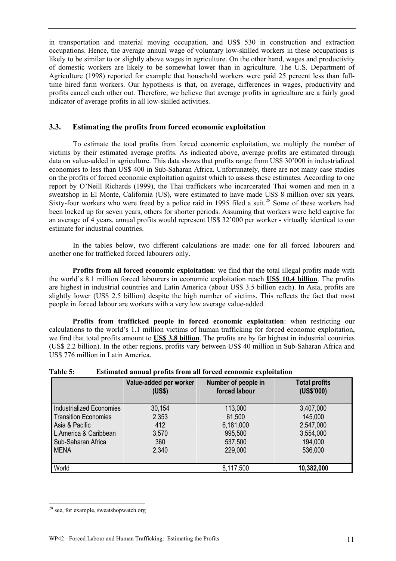in transportation and material moving occupation, and US\$ 530 in construction and extraction occupations. Hence, the average annual wage of voluntary low-skilled workers in these occupations is likely to be similar to or slightly above wages in agriculture. On the other hand, wages and productivity of domestic workers are likely to be somewhat lower than in agriculture. The U.S. Department of Agriculture (1998) reported for example that household workers were paid 25 percent less than fulltime hired farm workers. Our hypothesis is that, on average, differences in wages, productivity and profits cancel each other out. Therefore, we believe that average profits in agriculture are a fairly good indicator of average profits in all low-skilled activities.

#### **3.3. Estimating the profits from forced economic exploitation**

To estimate the total profits from forced economic exploitation, we multiply the number of victims by their estimated average profits. As indicated above, average profits are estimated through data on value-added in agriculture. This data shows that profits range from US\$ 30'000 in industrialized economies to less than US\$ 400 in Sub-Saharan Africa. Unfortunately, there are not many case studies on the profits of forced economic exploitation against which to assess these estimates. According to one report by O'Neill Richards (1999), the Thai traffickers who incarcerated Thai women and men in a sweatshop in El Monte, California (US), were estimated to have made US\$ 8 million over six years. Sixty-four workers who were freed by a police raid in 1995 filed a suit.<sup>28</sup> Some of these workers had been locked up for seven years, others for shorter periods. Assuming that workers were held captive for an average of 4 years, annual profits would represent US\$ 32'000 per worker - virtually identical to our estimate for industrial countries.

In the tables below, two different calculations are made: one for all forced labourers and another one for trafficked forced labourers only.

**Profits from all forced economic exploitation**: we find that the total illegal profits made with the world's 8.1 million forced labourers in economic exploitation reach **US\$ 10.4 billion**. The profits are highest in industrial countries and Latin America (about US\$ 3.5 billion each). In Asia, profits are slightly lower (US\$ 2.5 billion) despite the high number of victims. This reflects the fact that most people in forced labour are workers with a very low average value-added.

**Profits from trafficked people in forced economic exploitation**: when restricting our calculations to the world's 1.1 million victims of human trafficking for forced economic exploitation, we find that total profits amount to **US\$ 3.8 billion**. The profits are by far highest in industrial countries (US\$ 2.2 billion). In the other regions, profits vary between US\$ 40 million in Sub-Saharan Africa and US\$ 776 million in Latin America.

#### **Table 5: Estimated annual profits from all forced economic exploitation**

|                                 | Value-added per worker<br>(US\$) | Number of people in<br>forced labour | <b>Total profits</b><br>(US\$'000) |
|---------------------------------|----------------------------------|--------------------------------------|------------------------------------|
| <b>Industrialized Economies</b> | 30,154                           | 113,000                              | 3,407,000                          |
| <b>Transition Economies</b>     | 2,353                            | 61,500                               | 145,000                            |
| Asia & Pacific                  | 412                              | 6,181,000                            | 2,547,000                          |
| L.America & Caribbean           | 3,570                            | 995,500                              | 3,554,000                          |
| Sub-Saharan Africa              | 360                              | 537,500                              | 194,000                            |
| <b>MENA</b>                     | 2,340                            | 229,000                              | 536,000                            |
| World                           |                                  | 8,117,500                            | 10,382,000                         |

 $\overline{a}$ <sup>28</sup> see, for example, sweatshopwatch.org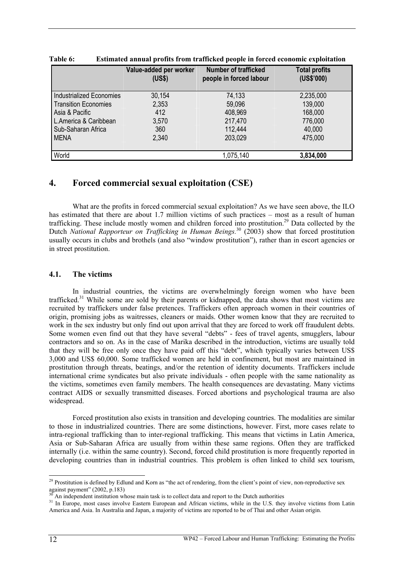|                                 | Value-added per worker<br>(US\$) | <b>Number of trafficked</b><br>people in forced labour | <b>Total profits</b><br>(US\$'000) |
|---------------------------------|----------------------------------|--------------------------------------------------------|------------------------------------|
| <b>Industrialized Economies</b> | 30,154                           | 74,133                                                 | 2,235,000                          |
| <b>Transition Economies</b>     | 2,353                            | 59,096                                                 | 139,000                            |
| Asia & Pacific                  | 412                              | 408,969                                                | 168,000                            |
| L.America & Caribbean           | 3,570                            | 217,470                                                | 776,000                            |
| Sub-Saharan Africa              | 360                              | 112,444                                                | 40,000                             |
| <b>MENA</b>                     | 2,340                            | 203,029                                                | 475,000                            |
| World                           |                                  | 1,075,140                                              | 3,834,000                          |

**Table 6: Estimated annual profits from trafficked people in forced economic exploitation** 

# **4. Forced commercial sexual exploitation (CSE)**

What are the profits in forced commercial sexual exploitation? As we have seen above, the ILO has estimated that there are about 1.7 million victims of such practices – most as a result of human trafficking. These include mostly women and children forced into prostitution.<sup>29</sup> Data collected by the Dutch *National Rapporteur on Trafficking in Human Beings.*30 (2003) show that forced prostitution usually occurs in clubs and brothels (and also "window prostitution"), rather than in escort agencies or in street prostitution.

### **4.1. The victims**

In industrial countries, the victims are overwhelmingly foreign women who have been trafficked.<sup>31</sup> While some are sold by their parents or kidnapped, the data shows that most victims are recruited by traffickers under false pretences. Traffickers often approach women in their countries of origin, promising jobs as waitresses, cleaners or maids. Other women know that they are recruited to work in the sex industry but only find out upon arrival that they are forced to work off fraudulent debts. Some women even find out that they have several "debts" - fees of travel agents, smugglers, labour contractors and so on. As in the case of Marika described in the introduction, victims are usually told that they will be free only once they have paid off this "debt", which typically varies between US\$ 3,000 and US\$ 60,000. Some trafficked women are held in confinement, but most are maintained in prostitution through threats, beatings, and/or the retention of identity documents. Traffickers include international crime syndicates but also private individuals - often people with the same nationality as the victims, sometimes even family members. The health consequences are devastating. Many victims contract AIDS or sexually transmitted diseases. Forced abortions and psychological trauma are also widespread.

 Forced prostitution also exists in transition and developing countries. The modalities are similar to those in industrialized countries. There are some distinctions, however. First, more cases relate to intra-regional trafficking than to inter-regional trafficking. This means that victims in Latin America, Asia or Sub-Saharan Africa are usually from within these same regions. Often they are trafficked internally (i.e. within the same country). Second, forced child prostitution is more frequently reported in developing countries than in industrial countries. This problem is often linked to child sex tourism,

<sup>&</sup>lt;sup>29</sup> Prostitution is defined by Edlund and Korn as "the act of rendering, from the client's point of view, non-reproductive sex  $\frac{1}{20}$  against payment" (2002, p.183)<br>  $\frac{30}{20}$  An independent institution whose main task is to collect data and report to the Dutch authorities

<sup>&</sup>lt;sup>31</sup> In Europe, most cases involve Eastern European and African victims, while in the U.S. they involve victims from Latin In Europe, most cases involve Eastern European and African victims, while in the U.S. they involve America and Asia. In Australia and Japan, a majority of victims are reported to be of Thai and other Asian origin.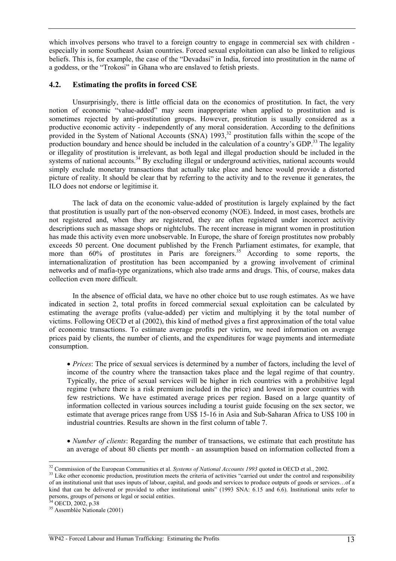which involves persons who travel to a foreign country to engage in commercial sex with children especially in some Southeast Asian countries. Forced sexual exploitation can also be linked to religious beliefs. This is, for example, the case of the "Devadasi" in India, forced into prostitution in the name of a goddess, or the "Trokosi" in Ghana who are enslaved to fetish priests.

#### **4.2. Estimating the profits in forced CSE**

Unsurprisingly, there is little official data on the economics of prostitution. In fact, the very notion of economic "value-added" may seem inappropriate when applied to prostitution and is sometimes rejected by anti-prostitution groups. However, prostitution is usually considered as a productive economic activity - independently of any moral consideration. According to the definitions provided in the System of National Accounts  $(SNA)$  1993,<sup>32</sup> prostitution falls within the scope of the production boundary and hence should be included in the calculation of a country's GDP.<sup>33</sup> The legality or illegality of prostitution is irrelevant, as both legal and illegal production should be included in the systems of national accounts.<sup>34</sup> By excluding illegal or underground activities, national accounts would simply exclude monetary transactions that actually take place and hence would provide a distorted picture of reality. It should be clear that by referring to the activity and to the revenue it generates, the ILO does not endorse or legitimise it.

The lack of data on the economic value-added of prostitution is largely explained by the fact that prostitution is usually part of the non-observed economy (NOE). Indeed, in most cases, brothels are not registered and, when they are registered, they are often registered under incorrect activity descriptions such as massage shops or nightclubs. The recent increase in migrant women in prostitution has made this activity even more unobservable. In Europe, the share of foreign prostitutes now probably exceeds 50 percent. One document published by the French Parliament estimates, for example, that more than  $60\%$  of prostitutes in Paris are foreigners.<sup>35</sup> According to some reports, the internationalization of prostitution has been accompanied by a growing involvement of criminal networks and of mafia-type organizations, which also trade arms and drugs. This, of course, makes data collection even more difficult.

In the absence of official data, we have no other choice but to use rough estimates. As we have indicated in section 2, total profits in forced commercial sexual exploitation can be calculated by estimating the average profits (value-added) per victim and multiplying it by the total number of victims. Following OECD et al (2002), this kind of method gives a first approximation of the total value of economic transactions. To estimate average profits per victim, we need information on average prices paid by clients, the number of clients, and the expenditures for wage payments and intermediate consumption.

• *Prices*: The price of sexual services is determined by a number of factors, including the level of income of the country where the transaction takes place and the legal regime of that country. Typically, the price of sexual services will be higher in rich countries with a prohibitive legal regime (where there is a risk premium included in the price) and lowest in poor countries with few restrictions. We have estimated average prices per region. Based on a large quantity of information collected in various sources including a tourist guide focusing on the sex sector, we estimate that average prices range from US\$ 15-16 in Asia and Sub-Saharan Africa to US\$ 100 in industrial countries. Results are shown in the first column of table 7.

• *Number of clients*: Regarding the number of transactions, we estimate that each prostitute has an average of about 80 clients per month - an assumption based on information collected from a

<sup>&</sup>lt;sup>32</sup> Commission of the European Communities et al. Systems of National Accounts 1993 quoted in OECD et al., 2002.

<sup>&</sup>lt;sup>33</sup> Like other economic production, prostitution meets the criteria of activities "carried out under the control and responsibility of an institutional unit that uses inputs of labour, capital, and goods and services to produce outputs of goods or services…of a kind that can be delivered or provided to other institutional units" (1993 SNA: 6.15 and 6.6). Institutional units refer to persons, groups of persons or legal or social entities.<br><sup>34</sup> OECD, 2002, p.38

<sup>35</sup> Assemblée Nationale (2001)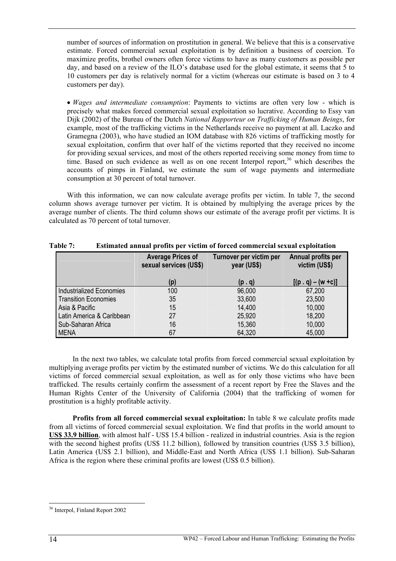number of sources of information on prostitution in general. We believe that this is a conservative estimate. Forced commercial sexual exploitation is by definition a business of coercion. To maximize profits, brothel owners often force victims to have as many customers as possible per day, and based on a review of the ILO's database used for the global estimate, it seems that 5 to 10 customers per day is relatively normal for a victim (whereas our estimate is based on 3 to 4 customers per day).

• *Wages and intermediate consumption*: Payments to victims are often very low - which is precisely what makes forced commercial sexual exploitation so lucrative. According to Essy van Dijk (2002) of the Bureau of the Dutch *National Rapporteur on Trafficking of Human Beings*, for example, most of the trafficking victims in the Netherlands receive no payment at all. Laczko and Gramegna (2003), who have studied an IOM database with 826 victims of trafficking mostly for sexual exploitation, confirm that over half of the victims reported that they received no income for providing sexual services, and most of the others reported receiving some money from time to time. Based on such evidence as well as on one recent Interpol report, $36$  which describes the accounts of pimps in Finland, we estimate the sum of wage payments and intermediate consumption at 30 percent of total turnover.

With this information, we can now calculate average profits per victim. In table 7, the second column shows average turnover per victim. It is obtained by multiplying the average prices by the average number of clients. The third column shows our estimate of the average profit per victims. It is calculated as 70 percent of total turnover.

|                                 | <b>Average Prices of</b><br>sexual services (US\$) | Turnover per victim per<br>year (US\$) | Annual profits per<br>victim (US\$) |
|---------------------------------|----------------------------------------------------|----------------------------------------|-------------------------------------|
|                                 | (p)                                                | (p.q)                                  | $[(p \nvert q) - (w \nvert c)]$     |
| <b>Industrialized Economies</b> | 100                                                | 96,000                                 | 67,200                              |
| <b>Transition Economies</b>     | 35                                                 | 33,600                                 | 23,500                              |
| Asia & Pacific                  | 15                                                 | 14,400                                 | 10,000                              |
| Latin America & Caribbean       | 27                                                 | 25,920                                 | 18,200                              |
| Sub-Saharan Africa              | 16                                                 | 15,360                                 | 10,000                              |
| <b>MENA</b>                     | 67                                                 | 64,320                                 | 45,000                              |

**Table 7: Estimated annual profits per victim of forced commercial sexual exploitation** 

In the next two tables, we calculate total profits from forced commercial sexual exploitation by multiplying average profits per victim by the estimated number of victims. We do this calculation for all victims of forced commercial sexual exploitation, as well as for only those victims who have been trafficked. The results certainly confirm the assessment of a recent report by Free the Slaves and the Human Rights Center of the University of California (2004) that the trafficking of women for prostitution is a highly profitable activity.

**Profits from all forced commercial sexual exploitation:** In table 8 we calculate profits made from all victims of forced commercial sexual exploitation. We find that profits in the world amount to **US\$ 33.9 billion**, with almost half - US\$ 15.4 billion - realized in industrial countries. Asia is the region with the second highest profits (US\$ 11.2 billion), followed by transition countries (US\$ 3.5 billion), Latin America (US\$ 2.1 billion), and Middle-East and North Africa (US\$ 1.1 billion). Sub-Saharan Africa is the region where these criminal profits are lowest (US\$ 0.5 billion).

 $\overline{a}$ <sup>36</sup> Interpol, Finland Report 2002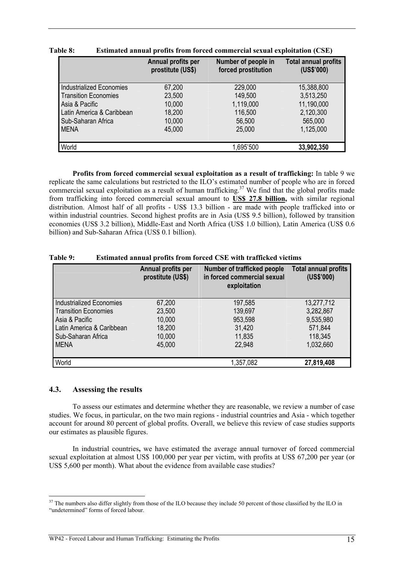|                             | Annual profits per<br>prostitute (US\$) | Number of people in<br>forced prostitution | <b>Total annual profits</b><br>(US\$'000) |
|-----------------------------|-----------------------------------------|--------------------------------------------|-------------------------------------------|
| Industrialized Economies    | 67,200                                  | 229,000                                    | 15,388,800                                |
| <b>Transition Economies</b> | 23,500                                  | 149,500                                    | 3,513,250                                 |
| Asia & Pacific              | 10,000                                  | 1,119,000                                  | 11,190,000                                |
| Latin America & Caribbean   | 18,200                                  | 116,500                                    | 2,120,300                                 |
| Sub-Saharan Africa          | 10,000                                  | 56,500                                     | 565,000                                   |
| <b>MENA</b>                 | 45,000                                  | 25,000                                     | 1,125,000                                 |
| World                       |                                         | 1,695'500                                  | 33,902,350                                |

**Table 8: Estimated annual profits from forced commercial sexual exploitation (CSE)** 

**Profits from forced commercial sexual exploitation as a result of trafficking:** In table 9 we replicate the same calculations but restricted to the ILO's estimated number of people who are in forced commercial sexual exploitation as a result of human trafficking.<sup>37</sup> We find that the global profits made from trafficking into forced commercial sexual amount to **US\$ 27.8 billion,** with similar regional distribution. Almost half of all profits - US\$ 13.3 billion - are made with people trafficked into or within industrial countries. Second highest profits are in Asia (US\$ 9.5 billion), followed by transition economies (US\$ 3.2 billion), Middle-East and North Africa (US\$ 1.0 billion), Latin America (US\$ 0.6 billion) and Sub-Saharan Africa (US\$ 0.1 billion).

|                                 | Annual profits per<br>prostitute (US\$) | <b>Number of trafficked people</b><br>in forced commercial sexual<br>exploitation | <b>Total annual profits</b><br>(US\$'000) |
|---------------------------------|-----------------------------------------|-----------------------------------------------------------------------------------|-------------------------------------------|
| <b>Industrialized Economies</b> | 67,200                                  | 197,585                                                                           | 13,277,712                                |
| <b>Transition Economies</b>     | 23,500                                  | 139,697                                                                           | 3,282,867                                 |
| Asia & Pacific                  | 10,000                                  | 953,598                                                                           | 9,535,980                                 |
| Latin America & Caribbean       | 18,200                                  | 31,420                                                                            | 571,844                                   |
| Sub-Saharan Africa              | 10,000                                  | 11,835                                                                            | 118,345                                   |
| <b>MENA</b>                     | 45,000                                  | 22,948                                                                            | 1,032,660                                 |
| World                           |                                         | 1,357,082                                                                         | 27,819,408                                |

**Table 9: Estimated annual profits from forced CSE with trafficked victims** 

#### **4.3. Assessing the results**

 $\overline{a}$ 

To assess our estimates and determine whether they are reasonable, we review a number of case studies. We focus, in particular, on the two main regions - industrial countries and Asia - which together account for around 80 percent of global profits. Overall, we believe this review of case studies supports our estimates as plausible figures.

In industrial countries**,** we have estimated the average annual turnover of forced commercial sexual exploitation at almost US\$ 100,000 per year per victim, with profits at US\$ 67,200 per year (or US\$ 5,600 per month). What about the evidence from available case studies?

 $37$  The numbers also differ slightly from those of the ILO because they include 50 percent of those classified by the ILO in "undetermined" forms of forced labour.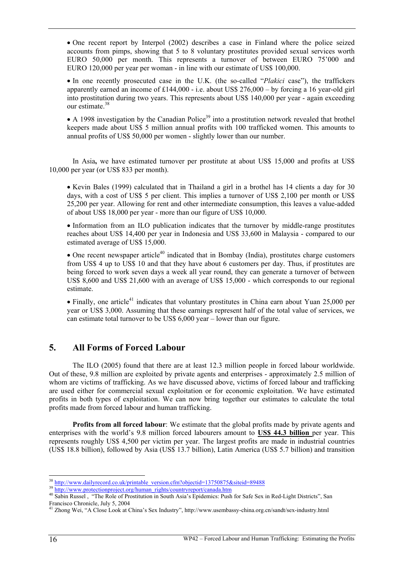• One recent report by Interpol (2002) describes a case in Finland where the police seized accounts from pimps, showing that 5 to 8 voluntary prostitutes provided sexual services worth EURO 50,000 per month. This represents a turnover of between EURO 75'000 and EURO 120,000 per year per woman - in line with our estimate of US\$ 100,000.

• In one recently prosecuted case in the U.K. (the so-called "*Plakici* case"), the traffickers apparently earned an income of  $£144,000$  - i.e. about US\$ 276,000 – by forcing a 16 year-old girl into prostitution during two years. This represents about US\$ 140,000 per year - again exceeding our estimate.<sup>38</sup>

• A 1998 investigation by the Canadian Police<sup>39</sup> into a prostitution network revealed that brothel keepers made about US\$ 5 million annual profits with 100 trafficked women. This amounts to annual profits of US\$ 50,000 per women - slightly lower than our number.

In Asia**,** we have estimated turnover per prostitute at about US\$ 15,000 and profits at US\$ 10,000 per year (or US\$ 833 per month).

• Kevin Bales (1999) calculated that in Thailand a girl in a brothel has 14 clients a day for 30 days, with a cost of US\$ 5 per client. This implies a turnover of US\$ 2,100 per month or US\$ 25,200 per year. Allowing for rent and other intermediate consumption, this leaves a value-added of about US\$ 18,000 per year - more than our figure of US\$ 10,000.

• Information from an ILO publication indicates that the turnover by middle-range prostitutes reaches about US\$ 14,400 per year in Indonesia and US\$ 33,600 in Malaysia - compared to our estimated average of US\$ 15,000.

• One recent newspaper article<sup>40</sup> indicated that in Bombay (India), prostitutes charge customers from US\$ 4 up to US\$ 10 and that they have about 6 customers per day. Thus, if prostitutes are being forced to work seven days a week all year round, they can generate a turnover of between US\$ 8,600 and US\$ 21,600 with an average of US\$ 15,000 - which corresponds to our regional estimate.

• Finally, one article<sup>41</sup> indicates that voluntary prostitutes in China earn about Yuan 25,000 per year or US\$ 3,000. Assuming that these earnings represent half of the total value of services, we can estimate total turnover to be US\$ 6,000 year – lower than our figure.

# **5. All Forms of Forced Labour**

 The ILO (2005) found that there are at least 12.3 million people in forced labour worldwide. Out of these, 9.8 million are exploited by private agents and enterprises - approximately 2.5 million of whom are victims of trafficking. As we have discussed above, victims of forced labour and trafficking are used either for commercial sexual exploitation or for economic exploitation. We have estimated profits in both types of exploitation. We can now bring together our estimates to calculate the total profits made from forced labour and human trafficking.

**Profits from all forced labour**: We estimate that the global profits made by private agents and enterprises with the world's 9.8 million forced labourers amount to **US\$ 44.3 billion** per year. This represents roughly US\$ 4,500 per victim per year. The largest profits are made in industrial countries (US\$ 18.8 billion), followed by Asia (US\$ 13.7 billion), Latin America (US\$ 5.7 billion) and transition

<sup>&</sup>lt;sup>38</sup> http://www.dailyrecord.co.uk/printable version.cfm?objectid=13750875&siteid=89488

<sup>&</sup>lt;sup>39</sup> http://www.protectionproject.org/human\_rights/countryreport/canada.htm<br><sup>40</sup> Sabin Russel, "The Role of Prostitution in South Asia's Epidemics: Push for Safe Sex in Red-Light Districts", San Francisco Chronicle, July 5, 2004

<sup>&</sup>lt;sup>41</sup> Zhong Wei, "A Close Look at China's Sex Industry", http://www.usembassy-china.org.cn/sandt/sex-industry.html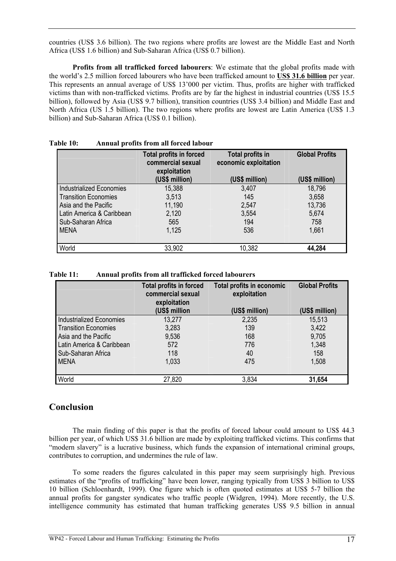countries (US\$ 3.6 billion). The two regions where profits are lowest are the Middle East and North Africa (US\$ 1.6 billion) and Sub-Saharan Africa (US\$ 0.7 billion).

**Profits from all trafficked forced labourers**: We estimate that the global profits made with the world's 2.5 million forced labourers who have been trafficked amount to **US\$ 31.6 billion** per year. This represents an annual average of US\$ 13'000 per victim. Thus, profits are higher with trafficked victims than with non-trafficked victims. Profits are by far the highest in industrial countries (US\$ 15.5 billion), followed by Asia (US\$ 9.7 billion), transition countries (US\$ 3.4 billion) and Middle East and North Africa (US 1.5 billion). The two regions where profits are lowest are Latin America (US\$ 1.3 billion) and Sub-Saharan Africa (US\$ 0.1 billion).

|                                 | <b>Total profits in forced</b><br>commercial sexual<br>exploitation<br>(US\$ million) | <b>Total profits in</b><br>economic exploitation<br>(US\$ million) | <b>Global Profits</b><br>(US\$ million) |
|---------------------------------|---------------------------------------------------------------------------------------|--------------------------------------------------------------------|-----------------------------------------|
| <b>Industrialized Economies</b> | 15,388                                                                                | 3,407                                                              | 18,796                                  |
| <b>Transition Economies</b>     | 3,513                                                                                 | 145                                                                | 3,658                                   |
| Asia and the Pacific            | 11,190                                                                                | 2,547                                                              | 13,736                                  |
| Latin America & Caribbean       | 2,120                                                                                 | 3,554                                                              | 5,674                                   |
| Sub-Saharan Africa              | 565                                                                                   | 194                                                                | 758                                     |
| <b>MENA</b>                     | 1,125                                                                                 | 536                                                                | 1,661                                   |
| World                           | 33,902                                                                                | 10,382                                                             | 44,284                                  |

#### **Table 10: Annual profits from all forced labour**

#### **Table 11: Annual profits from all trafficked forced labourers**

|                                 | <b>Total profits in forced</b><br>commercial sexual<br>exploitation<br>(US\$ million | Total profits in economic<br>exploitation<br>(US\$ million) | <b>Global Profits</b><br>(US\$ million) |
|---------------------------------|--------------------------------------------------------------------------------------|-------------------------------------------------------------|-----------------------------------------|
| <b>Industrialized Economies</b> | 13,277                                                                               | 2,235                                                       | 15,513                                  |
| <b>Transition Economies</b>     | 3,283                                                                                | 139                                                         | 3,422                                   |
| Asia and the Pacific            | 9,536                                                                                | 168                                                         | 9,705                                   |
| Latin America & Caribbean       | 572                                                                                  | 776                                                         | 1,348                                   |
| Sub-Saharan Africa              | 118                                                                                  | 40                                                          | 158                                     |
| <b>MENA</b>                     | 1,033                                                                                | 475                                                         | 1,508                                   |
| World                           | 27,820                                                                               | 3,834                                                       | 31,654                                  |

# **Conclusion**

The main finding of this paper is that the profits of forced labour could amount to US\$ 44.3 billion per year, of which US\$ 31.6 billion are made by exploiting trafficked victims. This confirms that "modern slavery" is a lucrative business, which funds the expansion of international criminal groups, contributes to corruption, and undermines the rule of law.

To some readers the figures calculated in this paper may seem surprisingly high. Previous estimates of the "profits of trafficking" have been lower, ranging typically from US\$ 3 billion to US\$ 10 billion (Schloenhardt, 1999). One figure which is often quoted estimates at US\$ 5-7 billion the annual profits for gangster syndicates who traffic people (Widgren, 1994). More recently, the U.S. intelligence community has estimated that human trafficking generates US\$ 9.5 billion in annual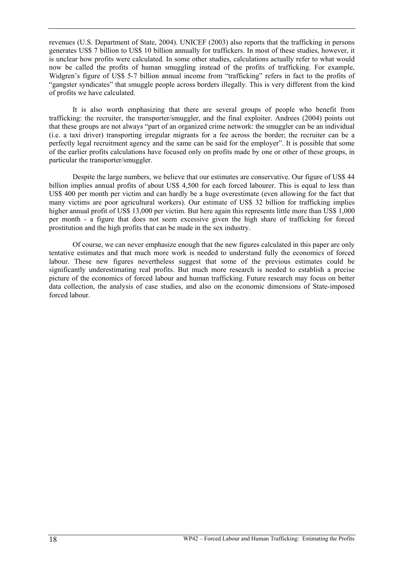revenues (U.S. Department of State, 2004). UNICEF (2003) also reports that the trafficking in persons generates US\$ 7 billion to US\$ 10 billion annually for traffickers. In most of these studies, however, it is unclear how profits were calculated. In some other studies, calculations actually refer to what would now be called the profits of human smuggling instead of the profits of trafficking. For example, Widgren's figure of US\$ 5-7 billion annual income from "trafficking" refers in fact to the profits of "gangster syndicates" that smuggle people across borders illegally. This is very different from the kind of profits we have calculated.

It is also worth emphasizing that there are several groups of people who benefit from trafficking: the recruiter, the transporter/smuggler, and the final exploiter. Andrees (2004) points out that these groups are not always "part of an organized crime network: the smuggler can be an individual (i.e. a taxi driver) transporting irregular migrants for a fee across the border; the recruiter can be a perfectly legal recruitment agency and the same can be said for the employer". It is possible that some of the earlier profits calculations have focused only on profits made by one or other of these groups, in particular the transporter/smuggler.

Despite the large numbers, we believe that our estimates are conservative. Our figure of US\$ 44 billion implies annual profits of about US\$ 4,500 for each forced labourer. This is equal to less than US\$ 400 per month per victim and can hardly be a huge overestimate (even allowing for the fact that many victims are poor agricultural workers). Our estimate of US\$ 32 billion for trafficking implies higher annual profit of US\$ 13,000 per victim. But here again this represents little more than US\$ 1,000 per month - a figure that does not seem excessive given the high share of trafficking for forced prostitution and the high profits that can be made in the sex industry.

Of course, we can never emphasize enough that the new figures calculated in this paper are only tentative estimates and that much more work is needed to understand fully the economics of forced labour. These new figures nevertheless suggest that some of the previous estimates could be significantly underestimating real profits. But much more research is needed to establish a precise picture of the economics of forced labour and human trafficking. Future research may focus on better data collection, the analysis of case studies, and also on the economic dimensions of State-imposed forced labour.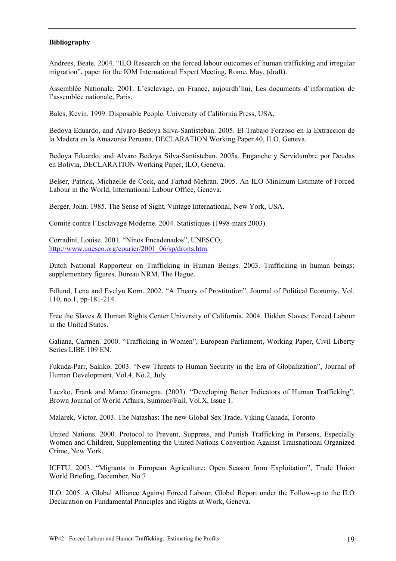#### **Bibliography**

Andrees, Beate. 2004. "ILO Research on the forced labour outcomes of human trafficking and irregular migration", paper for the IOM International Expert Meeting, Rome, May, (draft).

Assemblée Nationale. 2001. L'esclavage, en France, aujourdh'hui, Les documents d'information de l'assemblée nationale, Paris.

Bales, Kevin. 1999. Disposable People. University of California Press, USA.

Bedoya Eduardo, and Alvaro Bedoya Silva-Santisteban. 2005. El Trabajo Forzoso en la Extraccion de la Madera en la Amazonia Peruana, DECLARATION Working Paper 40, ILO, Geneva.

Bedoya Eduardo, and Alvaro Bedoya Silva-Santisteban. 2005a. Enganche y Servidumbre por Deudas en Bolivia, DECLARATION Working Paper, ILO, Geneva.

Belser, Patrick, Michaelle de Cock, and Farhad Mehran. 2005. An ILO Minimum Estimate of Forced Labour in the World, International Labour Office, Geneva.

Berger, John. 1985. The Sense of Sight. Vintage International, New York, USA.

Comité contre l'Esclavage Moderne. 2004. Statistiques (1998-mars 2003).

Corradini, Louise. 2001. "Ninos Encadenados", UNESCO, http://www.unesco.org/courier/2001\_06/sp/droits.htm

Dutch National Rapporteur on Trafficking in Human Beings. 2003. Trafficking in human beings; supplementary figures, Bureau NRM, The Hague.

Edlund, Lena and Evelyn Korn. 2002. "A Theory of Prostitution", Journal of Political Economy, Vol. 110, no.1, pp-181-214.

Free the Slaves & Human Rights Center University of California. 2004. Hidden Slaves: Forced Labour in the United States.

Galiana, Carmen. 2000. "Trafficking in Women", European Parliament, Working Paper, Civil Liberty Series LIBE 109 EN.

Fukuda-Parr, Sakiko. 2003. "New Threats to Human Security in the Era of Globalization", Journal of Human Development, Vol.4, No.2, July.

Laczko, Frank and Marco Gramegna. (2003). "Developing Better Indicators of Human Trafficking", Brown Journal of World Affairs, Summer/Fall, Vol.X, Issue 1.

Malarek, Victor. 2003. The Natashas: The new Global Sex Trade, Viking Canada, Toronto

United Nations. 2000. Protocol to Prevent, Suppress, and Punish Trafficking in Persons, Especially Women and Children, Supplementing the United Nations Convention Against Transnational Organized Crime, New York.

ICFTU. 2003. "Migrants in European Agriculture: Open Season from Exploitation", Trade Union World Briefing, December, No.7

ILO. 2005. A Global Alliance Against Forced Labour, Global Report under the Follow-up to the ILO Declaration on Fundamental Principles and Rights at Work, Geneva.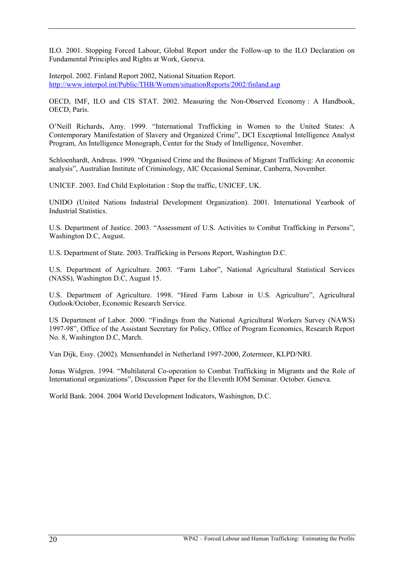ILO. 2001. Stopping Forced Labour, Global Report under the Follow-up to the ILO Declaration on Fundamental Principles and Rights at Work, Geneva.

Interpol. 2002. Finland Report 2002, National Situation Report. http://www.interpol.int/Public/THB/Women/situationReports/2002/finland.asp

OECD, IMF, ILO and CIS STAT. 2002. Measuring the Non-Observed Economy : A Handbook, OECD, Paris.

O'Neill Richards, Amy. 1999. "International Trafficking in Women to the United States: A Contemporary Manifestation of Slavery and Organized Crime", DCI Exceptional Intelligence Analyst Program, An Intelligence Monograph, Center for the Study of Intelligence, November.

Schloenhardt, Andreas. 1999. "Organised Crime and the Business of Migrant Trafficking: An economic analysis", Australian Institute of Criminology, AIC Occasional Seminar, Canberra, November.

UNICEF. 2003. End Child Exploitation : Stop the traffic, UNICEF, UK.

UNIDO (United Nations Industrial Development Organization). 2001. International Yearbook of Industrial Statistics.

U.S. Department of Justice. 2003. "Assessment of U.S. Activities to Combat Trafficking in Persons", Washington D.C, August.

U.S. Department of State. 2003. Trafficking in Persons Report, Washington D.C.

U.S. Department of Agriculture. 2003. "Farm Labor", National Agricultural Statistical Services (NASS), Washington D.C, August 15.

U.S. Department of Agriculture. 1998. "Hired Farm Labour in U.S. Agriculture", Agricultural Outlook/October, Economic Research Service.

US Department of Labor. 2000. "Findings from the National Agricultural Workers Survey (NAWS) 1997-98", Office of the Assistant Secretary for Policy, Office of Program Economics, Research Report No. 8, Washington D.C, March.

Van Dijk, Essy. (2002). Mensenhandel in Netherland 1997-2000, Zotermeer, KLPD/NRI.

Jonas Widgren. 1994. "Multilateral Co-operation to Combat Trafficking in Migrants and the Role of International organizations", Discussion Paper for the Eleventh IOM Seminar. October. Geneva.

World Bank. 2004. 2004 World Development Indicators, Washington, D.C.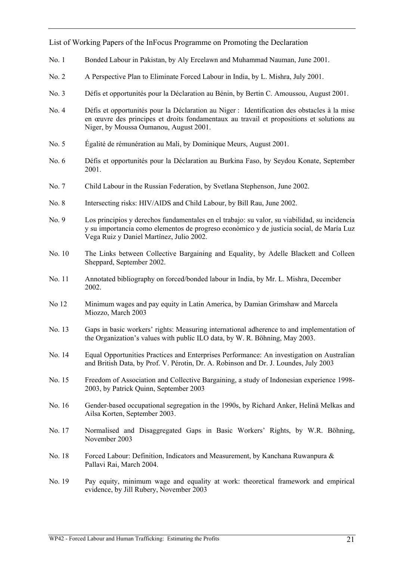List of Working Papers of the InFocus Programme on Promoting the Declaration

- No. 1 Bonded Labour in Pakistan, by Aly Ercelawn and Muhammad Nauman, June 2001.
- No. 2 A Perspective Plan to Eliminate Forced Labour in India, by L. Mishra, July 2001.
- No. 3 Défis et opportunités pour la Déclaration au Bénin, by Bertin C. Amoussou, August 2001.
- No. 4 Défis et opportunités pour la Déclaration au Niger : Identification des obstacles à la mise en œuvre des principes et droits fondamentaux au travail et propositions et solutions au Niger, by Moussa Oumanou, August 2001.
- No. 5 Égalité de rémunération au Mali, by Dominique Meurs, August 2001.
- No. 6 Défis et opportunités pour la Déclaration au Burkina Faso, by Seydou Konate, September 2001.
- No. 7 Child Labour in the Russian Federation, by Svetlana Stephenson, June 2002.
- No. 8 Intersecting risks: HIV/AIDS and Child Labour, by Bill Rau, June 2002.
- No. 9 Los principios y derechos fundamentales en el trabajo: su valor, su viabilidad, su incidencia y su importancia como elementos de progreso económico y de justicia social, de María Luz Vega Ruiz y Daniel Martínez, Julio 2002.
- No. 10 The Links between Collective Bargaining and Equality, by Adelle Blackett and Colleen Sheppard, September 2002.
- No. 11 Annotated bibliography on forced/bonded labour in India, by Mr. L. Mishra, December 2002.
- No 12 Minimum wages and pay equity in Latin America, by Damian Grimshaw and Marcela Miozzo, March 2003
- No. 13 Gaps in basic workers' rights: Measuring international adherence to and implementation of the Organization's values with public ILO data, by W. R. Böhning, May 2003.
- No. 14 Equal Opportunities Practices and Enterprises Performance: An investigation on Australian and British Data, by Prof. V. Pérotin, Dr. A. Robinson and Dr. J. Loundes, July 2003
- No. 15 Freedom of Association and Collective Bargaining, a study of Indonesian experience 1998- 2003, by Patrick Quinn, September 2003
- No. 16 Gender-based occupational segregation in the 1990s, by Richard Anker, Helinä Melkas and Ailsa Korten, September 2003.
- No. 17 Normalised and Disaggregated Gaps in Basic Workers' Rights, by W.R. Böhning, November 2003
- No. 18 Forced Labour: Definition, Indicators and Measurement, by Kanchana Ruwanpura & Pallavi Rai, March 2004.
- No. 19 Pay equity, minimum wage and equality at work: theoretical framework and empirical evidence, by Jill Rubery, November 2003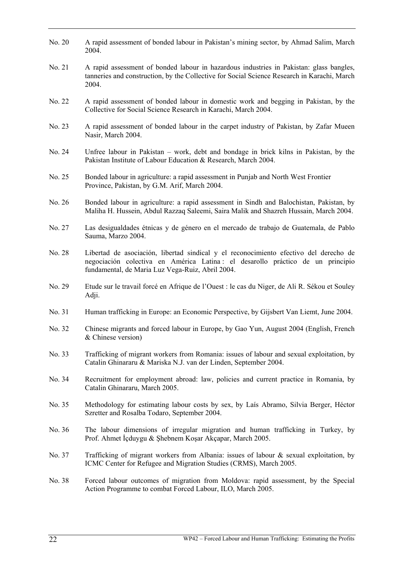| No. 20 | A rapid assessment of bonded labour in Pakistan's mining sector, by Ahmad Salim, March<br>2004.                                                                                                                             |
|--------|-----------------------------------------------------------------------------------------------------------------------------------------------------------------------------------------------------------------------------|
| No. 21 | A rapid assessment of bonded labour in hazardous industries in Pakistan: glass bangles,<br>tanneries and construction, by the Collective for Social Science Research in Karachi, March<br>2004.                             |
| No. 22 | A rapid assessment of bonded labour in domestic work and begging in Pakistan, by the<br>Collective for Social Science Research in Karachi, March 2004.                                                                      |
| No. 23 | A rapid assessment of bonded labour in the carpet industry of Pakistan, by Zafar Mueen<br>Nasir, March 2004.                                                                                                                |
| No. 24 | Unfree labour in Pakistan – work, debt and bondage in brick kilns in Pakistan, by the<br>Pakistan Institute of Labour Education & Research, March 2004.                                                                     |
| No. 25 | Bonded labour in agriculture: a rapid assessment in Punjab and North West Frontier<br>Province, Pakistan, by G.M. Arif, March 2004.                                                                                         |
| No. 26 | Bonded labour in agriculture: a rapid assessment in Sindh and Balochistan, Pakistan, by<br>Maliha H. Hussein, Abdul Razzaq Saleemi, Saira Malik and Shazreh Hussain, March 2004.                                            |
| No. 27 | Las desigualdades étnicas y de género en el mercado de trabajo de Guatemala, de Pablo<br>Sauma, Marzo 2004.                                                                                                                 |
| No. 28 | Libertad de asociación, libertad sindical y el reconocimiento efectivo del derecho de<br>negociación colectiva en América Latina: el desarollo práctico de un principio<br>fundamental, de Maria Luz Vega-Ruiz, Abril 2004. |
| No. 29 | Etude sur le travail forcé en Afrique de l'Ouest : le cas du Niger, de Ali R. Sékou et Souley<br>Adji.                                                                                                                      |
| No. 31 | Human trafficking in Europe: an Economic Perspective, by Gijsbert Van Liemt, June 2004.                                                                                                                                     |
| No. 32 | Chinese migrants and forced labour in Europe, by Gao Yun, August 2004 (English, French<br>& Chinese version)                                                                                                                |
| No. 33 | Trafficking of migrant workers from Romania: issues of labour and sexual exploitation, by<br>Catalin Ghinararu & Mariska N.J. van der Linden, September 2004.                                                               |
| No. 34 | Recruitment for employment abroad: law, policies and current practice in Romania, by<br>Catalin Ghinararu, March 2005.                                                                                                      |
| No. 35 | Methodology for estimating labour costs by sex, by Laís Abramo, Silvia Berger, Héctor<br>Szretter and Rosalba Todaro, September 2004.                                                                                       |
| No. 36 | The labour dimensions of irregular migration and human trafficking in Turkey, by<br>Prof. Ahmet İçduygu & Şhebnem Koşar Akçapar, March 2005.                                                                                |
| No. 37 | Trafficking of migrant workers from Albania: issues of labour $\&$ sexual exploitation, by<br>ICMC Center for Refugee and Migration Studies (CRMS), March 2005.                                                             |
| No. 38 | Forced labour outcomes of migration from Moldova: rapid assessment, by the Special<br>Action Programme to combat Forced Labour, ILO, March 2005.                                                                            |
|        |                                                                                                                                                                                                                             |